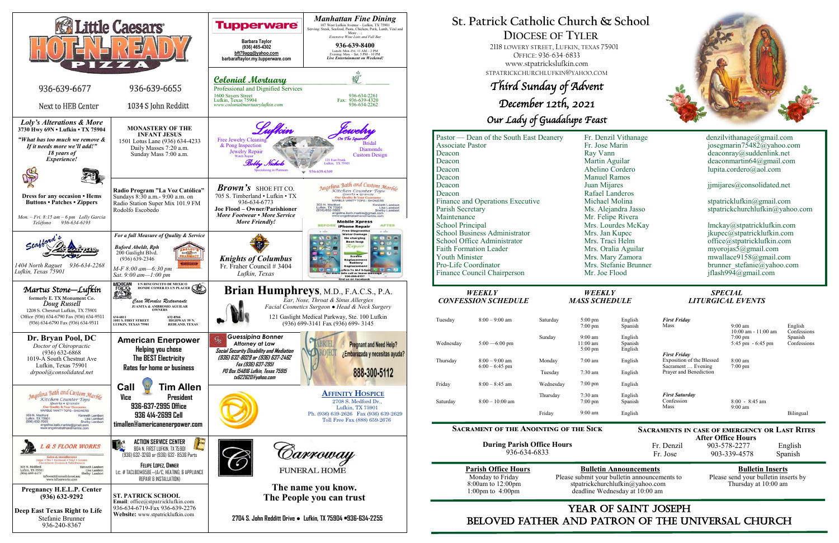

# YEAR OF SAINT JOSEPH beloved father AND Patron of the Universal Church

**After Office Hours**<br>Fr. Denzil 903-578-2277 903-578-2277 English Fr. Jose 903-339-4578 Spanish

Please submit your bulletin announcements to deadline Wednesday at 10:00 am

# **Parish Office Hours Bulletin Announcements**<br>Please submit your bulletin announcements to Please send your bulletin inserts by stpatrickchurchlufkin@yahoo.com Thursday at 10:00 am

# **St. Patrick Catholic Church & School DIOCESE OF TYLER**

 2118 LOWERY STREET, LUFKIN, TEXAS 75901 OFFICE: 936-634-6833 www.stpatrickslufkin.com STPATRICKCHURCHLUFKIN@YAHOO.COM

Third Sunday of Advent December 12th, 2021 Our Lady of Guadalupe Feast

| Pastor — Dean of the South East Deanery<br>Associate Pastor | Fr. Denzil Vithanage<br>Fr. Jose Marin | $denzilvithanage(\theta)gmail.com$<br>josegmarin75482@yahoo.com |
|-------------------------------------------------------------|----------------------------------------|-----------------------------------------------------------------|
| Deacon                                                      | Ray Vann                               | deaconray@suddenlink.net                                        |
| Deacon                                                      | Martin Aguilar                         | deaconmartin64@gmail.com                                        |
| Deacon                                                      | Abelino Cordero                        | lupita.cordero@aol.com                                          |
| Deacon                                                      | <b>Manuel Ramos</b>                    |                                                                 |
| Deacon                                                      | Juan Mijares                           | jjmijares@consolidated.net                                      |
| Deacon                                                      | Rafael Landeros                        |                                                                 |
| Finance and Operations Executive                            | Michael Molina                         | stpatricklufkin@gmail.com                                       |
| Parish Secretary                                            | Ms. Alejandra Jasso                    | stpatrickchurchlufkin@yahoo.com                                 |
| Maintenance                                                 | Mr. Felipe Rivera                      |                                                                 |
| School Principal                                            | Mrs. Lourdes McKay                     | lmckay@stpatricklufkin.com                                      |
| <b>School Business Administrator</b>                        | Mrs. Jan Kupec                         | jkupec@stpatricklufkin.com                                      |
| School Office Administrator                                 | Mrs. Traci Helm                        | office@stpatricklufkin.com                                      |
| <b>Faith Formation Leader</b>                               | Mrs. Oralia Aguilar                    | myorojas5@gmail.com                                             |
| Youth Minister                                              | Mrs. Mary Zamora                       | mwallace9158@gmail.com                                          |
| Pro-Life Coordinator                                        | Mrs. Stefanie Brunner                  | brunner stefanie@yahoo.com                                      |
| Finance Council Chairperson                                 | Mr. Joe Flood                          | jflash994@gmail.com                                             |
|                                                             |                                        |                                                                 |

#### **Sacrament of the Anointing of the Sick**

**During Parish Office Hours**  936-634-6833

| <b>Parish Office Hour</b> |
|---------------------------|
| Monday to Friday          |
| $8:00$ am to $12:00$ pm   |
| 1:00pm to $4:00$ pm       |
|                           |



# **EDULE** *LITURGICAL EVENTS*

**Sacraments in case of emergency or Last Rites** 

| <b>WEEKLY</b><br><b>CONFESSION SCHEDULE</b> |                                      | <b>WEEKLY</b><br><b>MASS SCHEDULE</b> |                                                              | <b>SPECIAL</b><br><b>LITURGICAL E</b> |                                                                                                  |               |
|---------------------------------------------|--------------------------------------|---------------------------------------|--------------------------------------------------------------|---------------------------------------|--------------------------------------------------------------------------------------------------|---------------|
| Tuesday                                     | $8:00 - 9:00$ am                     | Saturday                              | $5:00 \text{ pm}$<br>$7:00 \text{ pm}$                       | English<br>Spanish                    | <b>First Friday</b><br>Mass                                                                      | 9:00<br>10:00 |
| Wednesday                                   | $5:00 - 6:00$ pm                     | Sunday                                | $9:00 \text{ am}$<br>$11:00 \text{ am}$<br>$5:00 \text{ pm}$ | English<br>Spanish<br>English         |                                                                                                  | 7:00<br>5:45  |
| Thursday                                    | $8:00 - 9:00$ am<br>$6:00 - 6:45$ pm | Monday<br>Tuesday                     | $7:00 \text{ am}$<br>$7:30$ am                               | English<br>English                    | <b>First Friday</b><br>Exposition of the Blessed<br>Sacrament  Evening<br>Prayer and Benediction | 8:00<br>7:00  |
| Friday                                      | $8:00 - 8:45$ am                     | Wednesday                             | $7:00 \text{ pm}$                                            | English                               |                                                                                                  |               |
| Saturday                                    | $8:00 - 10:00$ am                    | Thursday                              | $7:30 \text{ am}$<br>$7:00 \text{ pm}$                       | English<br>Spanish                    | <b>First Saturday</b><br>Confession<br>Mass                                                      | 8:00<br>9:00  |
|                                             |                                      | Friday                                | $9:00 \text{ am}$                                            | English                               |                                                                                                  |               |

| English            | <b>First Friday</b>                             |                                              |                        |
|--------------------|-------------------------------------------------|----------------------------------------------|------------------------|
| Spanish            | Mass                                            | $9:00 \text{ am}$<br>$10:00$ am - $11:00$ am | English<br>Confessions |
| English            |                                                 | $7:00 \text{ pm}$                            | Spanish                |
| Spanish<br>English |                                                 | $5:45 \text{ pm} - 6:45 \text{ pm}$          | Confessions            |
|                    | <b>First Friday</b>                             |                                              |                        |
| English            | Exposition of the Blessed<br>Sacrament  Evening | $8:00 \text{ am}$<br>$7:00 \text{ pm}$       |                        |
| English            | Prayer and Benediction                          |                                              |                        |
| English            |                                                 |                                              |                        |
| English            | <b>First Saturday</b>                           |                                              |                        |
| Spanish            | Confession<br>Mass                              | $8:00 - 8:45$ am<br>$9:00 \text{ am}$        |                        |
| English            |                                                 |                                              | Bilingual              |